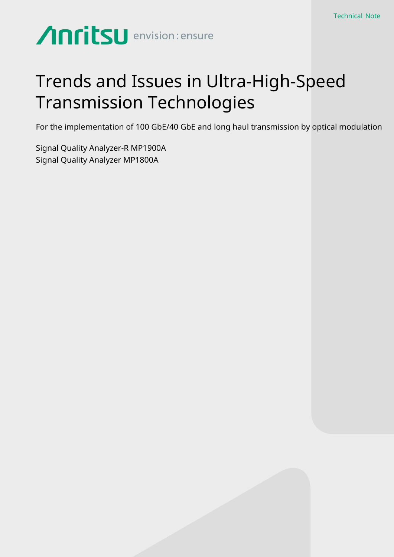# **Anritsu** envision: ensure

## Trends and Issues in Ultra-High-Speed Transmission Technologies

For the implementation of 100 GbE/40 GbE and long haul transmission by optical modulation

Signal Quality Analyzer-R MP1900A Signal Quality Analyzer MP1800A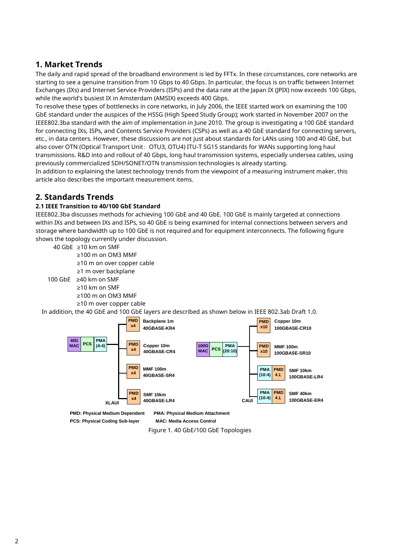## **1. Market Trends**

The daily and rapid spread of the broadband environment is led by FFTx. In these circumstances, core networks are starting to see a genuine transition from 10 Gbps to 40 Gbps. In particular, the focus is on traffic between Internet Exchanges (IXs) and Internet Service Providers (ISPs) and the data rate at the Japan IX (JPIX) now exceeds 100 Gbps, while the world's busiest IX in Amsterdam (AMSIX) exceeds 400 Gbps.

To resolve these types of bottlenecks in core networks, in July 2006, the IEEE started work on examining the 100 GbE standard under the auspices of the HSSG (High Speed Study Group); work started in November 2007 on the IEEE802.3ba standard with the aim of implementation in June 2010. The group is investigating a 100 GbE standard for connecting IXs, ISPs, and Contents Service Providers (CSPs) as well as a 40 GbE standard for connecting servers, etc., in data centers. However, these discussions are not just about standards for LANs using 100 and 40 GbE, but also cover OTN (Optical Transport Unit: OTU3, OTU4) ITU-T SG15 standards for WANs supporting long haul transmissions. R&D into and rollout of 40 Gbps, long haul transmission systems, especially undersea cables, using previously commercialized SDH/SONET/OTN transmission technologies is already starting.

In addition to explaining the latest technology trends from the viewpoint of a measuring instrument maker, this article also describes the important measurement items.

## **2. Standards Trends**

#### **2.1 IEEE Transition to 40/100 GbE Standard**

IEEE802.3ba discusses methods for achieving 100 GbE and 40 GbE. 100 GbE is mainly targeted at connections within IXs and between IXs and ISPs, so 40 GbE is being examined for internal connections between servers and storage where bandwidth up to 100 GbE is not required and for equipment interconnects. The following figure shows the topology currently under discussion.

40 GbE ≥10 km on SMF ≥100 m on OM3 MMF ≥10 m on over copper cable ≥1 m over backplane 100 GbE ≥40 km on SMF

≥10 km on SMF ≥100 m on OM3 MMF

≥10 m over copper cable

In addition, the 40 GbE and 100 GbE layers are described as shown below in IEEE 802.3ab Draft 1.0.



**PMD: Physical Medium Dependent PMA: Physical Medium Attachment**

**PCS: Physical Coding Sub-layer MAC: Media Access Control**

Figure 1. 40 GbE/100 GbE Topologies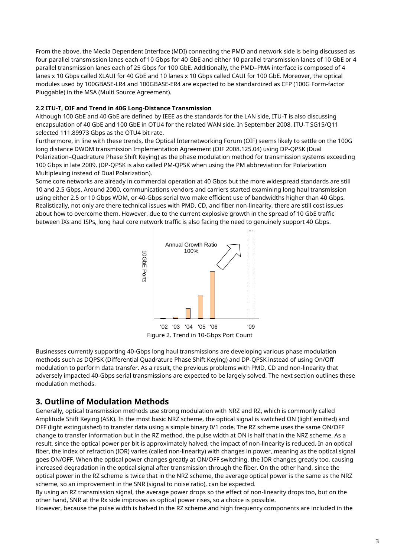From the above, the Media Dependent Interface (MDI) connecting the PMD and network side is being discussed as four parallel transmission lanes each of 10 Gbps for 40 GbE and either 10 parallel transmission lanes of 10 GbE or 4 parallel transmission lanes each of 25 Gbps for 100 GbE. Additionally, the PMD–PMA interface is composed of 4 lanes x 10 Gbps called XLAUI for 40 GbE and 10 lanes x 10 Gbps called CAUI for 100 GbE. Moreover, the optical modules used by 100GBASE-LR4 and 100GBASE-ER4 are expected to be standardized as CFP (100G Form-factor Pluggable) in the MSA (Multi Source Agreement).

#### **2.2 ITU-T, OIF and Trend in 40G Long-Distance Transmission**

Although 100 GbE and 40 GbE are defined by IEEE as the standards for the LAN side, ITU-T is also discussing encapsulation of 40 GbE and 100 GbE in OTU4 for the related WAN side. In September 2008, ITU-T SG15/Q11 selected 111.89973 Gbps as the OTU4 bit rate.

Furthermore, in line with these trends, the Optical Internetworking Forum (OIF) seems likely to settle on the 100G long distance DWDM transmission Implementation Agreement (OIF 2008.125.04) using DP-QPSK (Dual Polarization–Quadrature Phase Shift Keying) as the phase modulation method for transmission systems exceeding 100 Gbps in late 2009. (DP-QPSK is also called PM-QPSK when using the PM abbreviation for Polarization Multiplexing instead of Dual Polarization).

Some core networks are already in commercial operation at 40 Gbps but the more widespread standards are still 10 and 2.5 Gbps. Around 2000, communications vendors and carriers started examining long haul transmission using either 2.5 or 10 Gbps WDM, or 40-Gbps serial two make efficient use of bandwidths higher than 40 Gbps. Realistically, not only are there technical issues with PMD, CD, and fiber non-linearity, there are still cost issues about how to overcome them. However, due to the current explosive growth in the spread of 10 GbE traffic between IXs and ISPs, long haul core network traffic is also facing the need to genuinely support 40 Gbps.



Figure 2. Trend in 10-Gbps Port Count

Businesses currently supporting 40-Gbps long haul transmissions are developing various phase modulation methods such as DQPSK (Differential Quadrature Phase Shift Keying) and DP-QPSK instead of using On/Off modulation to perform data transfer. As a result, the previous problems with PMD, CD and non-linearity that adversely impacted 40-Gbps serial transmissions are expected to be largely solved. The next section outlines these modulation methods.

## **3. Outline of Modulation Methods**

Generally, optical transmission methods use strong modulation with NRZ and RZ, which is commonly called Amplitude Shift Keying (ASK). In the most basic NRZ scheme, the optical signal is switched ON (light emitted) and OFF (light extinguished) to transfer data using a simple binary 0/1 code. The RZ scheme uses the same ON/OFF change to transfer information but in the RZ method, the pulse width at ON is half that in the NRZ scheme. As a result, since the optical power per bit is approximately halved, the impact of non-linearity is reduced. In an optical fiber, the index of refraction (IOR) varies (called non-linearity) with changes in power, meaning as the optical signal goes ON/OFF. When the optical power changes greatly at ON/OFF switching, the IOR changes greatly too, causing increased degradation in the optical signal after transmission through the fiber. On the other hand, since the optical power in the RZ scheme is twice that in the NRZ scheme, the average optical power is the same as the NRZ scheme, so an improvement in the SNR (signal to noise ratio), can be expected.

By using an RZ transmission signal, the average power drops so the effect of non-linearity drops too, but on the other hand, SNR at the Rx side improves as optical power rises, so a choice is possible.

However, because the pulse width is halved in the RZ scheme and high frequency components are included in the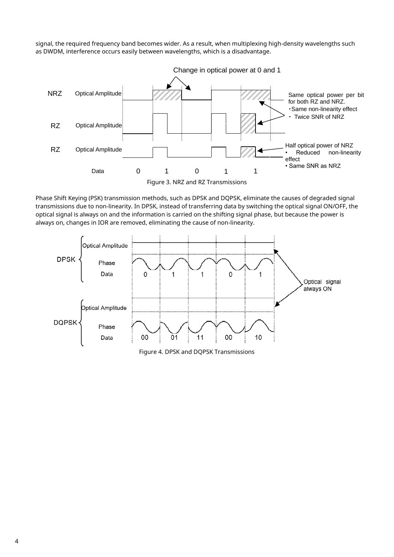signal, the required frequency band becomes wider. As a result, when multiplexing high-density wavelengths such as DWDM, interference occurs easily between wavelengths, which is a disadvantage.



Phase Shift Keying (PSK) transmission methods, such as DPSK and DQPSK, eliminate the causes of degraded signal transmissions due to non-linearity. In DPSK, instead of transferring data by switching the optical signal ON/OFF, the optical signal is always on and the information is carried on the shifting signal phase, but because the power is always on, changes in IOR are removed, eliminating the cause of non-linearity.



Figure 4. DPSK and DQPSK Transmissions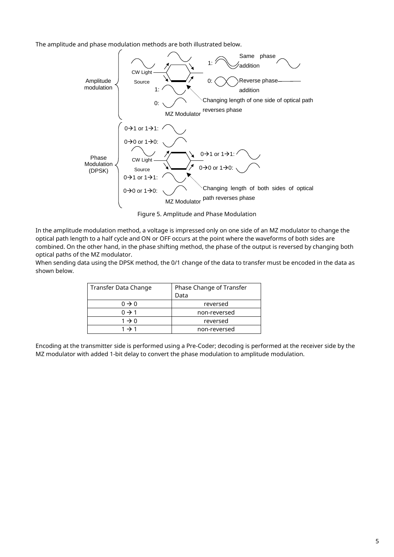The amplitude and phase modulation methods are both illustrated below.



Figure 5. Amplitude and Phase Modulation

In the amplitude modulation method, a voltage is impressed only on one side of an MZ modulator to change the optical path length to a half cycle and ON or OFF occurs at the point where the waveforms of both sides are combined. On the other hand, in the phase shifting method, the phase of the output is reversed by changing both optical paths of the MZ modulator.

When sending data using the DPSK method, the 0/1 change of the data to transfer must be encoded in the data as shown below.

| Transfer Data Change | Phase Change of Transfer |  |  |  |  |  |  |  |  |
|----------------------|--------------------------|--|--|--|--|--|--|--|--|
|                      | Data                     |  |  |  |  |  |  |  |  |
| $0 \rightarrow 0$    | reversed                 |  |  |  |  |  |  |  |  |
| $0 \rightarrow 1$    | non-reversed             |  |  |  |  |  |  |  |  |
| $1 \rightarrow 0$    | reversed                 |  |  |  |  |  |  |  |  |
| $1 \rightarrow 1$    | non-reversed             |  |  |  |  |  |  |  |  |

Encoding at the transmitter side is performed using a Pre-Coder; decoding is performed at the receiver side by the MZ modulator with added 1-bit delay to convert the phase modulation to amplitude modulation.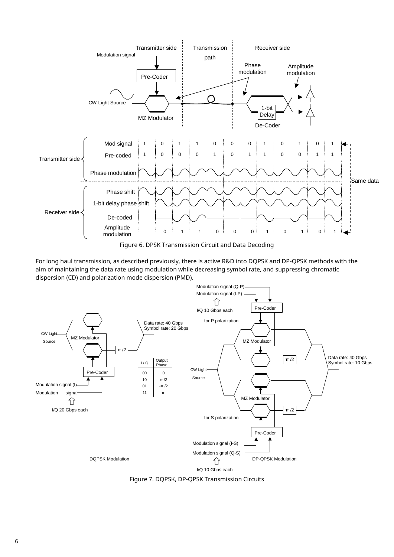

Figure 6. DPSK Transmission Circuit and Data Decoding

For long haul transmission, as described previously, there is active R&D into DQPSK and DP-QPSK methods with the aim of maintaining the data rate using modulation while decreasing symbol rate, and suppressing chromatic dispersion (CD) and polarization mode dispersion (PMD).



Figure 7. DQPSK, DP-QPSK Transmission Circuits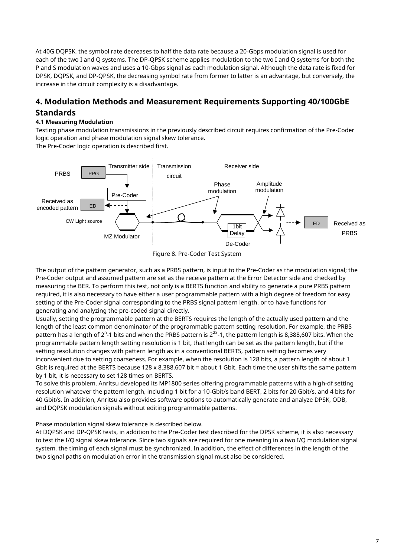At 40G DQPSK, the symbol rate decreases to half the data rate because a 20-Gbps modulation signal is used for each of the two I and Q systems. The DP-QPSK scheme applies modulation to the two I and Q systems for both the P and S modulation waves and uses a 10-Gbps signal as each modulation signal. Although the data rate is fixed for DPSK, DQPSK, and DP-QPSK, the decreasing symbol rate from former to latter is an advantage, but conversely, the increase in the circuit complexity is a disadvantage.

## **4. Modulation Methods and Measurement Requirements Supporting 40/100GbE Standards**

#### **4.1 Measuring Modulation**

Testing phase modulation transmissions in the previously described circuit requires confirmation of the Pre-Coder logic operation and phase modulation signal skew tolerance.

The Pre-Coder logic operation is described first.



Figure 8. Pre-Coder Test System

The output of the pattern generator, such as a PRBS pattern, is input to the Pre-Coder as the modulation signal; the Pre-Coder output and assumed pattern are set as the receive pattern at the Error Detector side and checked by measuring the BER. To perform this test, not only is a BERTS function and ability to generate a pure PRBS pattern required, it is also necessary to have either a user programmable pattern with a high degree of freedom for easy setting of the Pre-Coder signal corresponding to the PRBS signal pattern length, or to have functions for generating and analyzing the pre-coded signal directly.

Usually, setting the programmable pattern at the BERTS requires the length of the actually used pattern and the length of the least common denominator of the programmable pattern setting resolution. For example, the PRBS pattern has a length of 2<sup>n</sup>-1 bits and when the PRBS pattern is 2<sup>23</sup>-1, the pattern length is 8,388,607 bits. When the programmable pattern length setting resolution is 1 bit, that length can be set as the pattern length, but if the setting resolution changes with pattern length as in a conventional BERTS, pattern setting becomes very inconvenient due to setting coarseness. For example, when the resolution is 128 bits, a pattern length of about 1 Gbit is required at the BERTS because 128 x 8,388,607 bit = about 1 Gbit. Each time the user shifts the same pattern by 1 bit, it is necessary to set 128 times on BERTS.

To solve this problem, Anritsu developed its MP1800 series offering programmable patterns with a high-df setting resolution whatever the pattern length, including 1 bit for a 10-Gbit/s band BERT, 2 bits for 20 Gbit/s, and 4 bits for 40 Gbit/s. In addition, Anritsu also provides software options to automatically generate and analyze DPSK, ODB, and DQPSK modulation signals without editing programmable patterns.

Phase modulation signal skew tolerance is described below.

At DQPSK and DP-QPSK tests, in addition to the Pre-Coder test described for the DPSK scheme, it is also necessary to test the I/Q signal skew tolerance. Since two signals are required for one meaning in a two I/Q modulation signal system, the timing of each signal must be synchronized. In addition, the effect of differences in the length of the two signal paths on modulation error in the transmission signal must also be considered.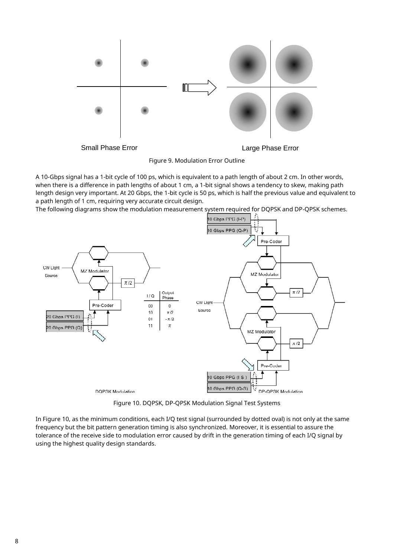

Figure 9. Modulation Error Outline

A 10-Gbps signal has a 1-bit cycle of 100 ps, which is equivalent to a path length of about 2 cm. In other words, when there is a difference in path lengths of about 1 cm, a 1-bit signal shows a tendency to skew, making path length design very important. At 20 Gbps, the 1-bit cycle is 50 ps, which is half the previous value and equivalent to a path length of 1 cm, requiring very accurate circuit design.

The following diagrams show the modulation measurement system required for DQPSK and DP-QPSK schemes.



Figure 10. DQPSK, DP-QPSK Modulation Signal Test Systems

In Figure 10, as the minimum conditions, each I/Q test signal (surrounded by dotted oval) is not only at the same frequency but the bit pattern generation timing is also synchronized. Moreover, it is essential to assure the tolerance of the receive side to modulation error caused by drift in the generation timing of each I/Q signal by using the highest quality design standards.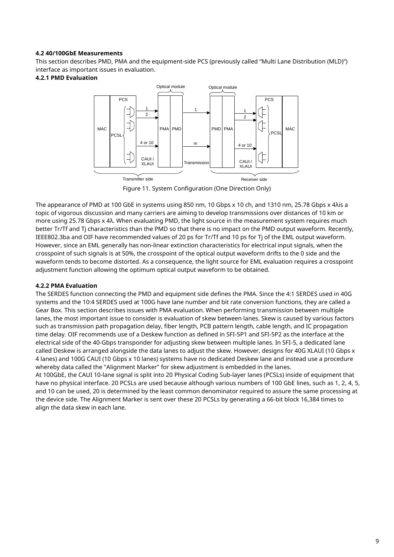#### **4.2 40/100GbE Measurements**

This section describes PMD, PMA and the equipment-side PCS (previously called "Multi Lane Distribution (MLD)") interface as important issues in evaluation.

#### **4.2.1 PMD Evaluation**



Figure 11. System Configuration (One Direction Only)

The appearance of PMD at 100 GbE in systems using 850 nm, 10 Gbps x 10 ch, and 1310 nm, 25.78 Gbps x 4λis a topic of vigorous discussion and many carriers are aiming to develop transmissions over distances of 10 km or more using 25.78 Gbps x 4λ. When evaluating PMD, the light source in the measurement system requires much better Tr/Tf and Tj characteristics than the PMD so that there is no impact on the PMD output waveform. Recently, IEEE802.3ba and OIF have recommended values of 20 ps for Tr/Tf and 10 ps for Tj of the EML output waveform. However, since an EML generally has non-linear extinction characteristics for electrical input signals, when the crosspoint of such signals is at 50%, the crosspoint of the optical output waveform drifts to the 0 side and the waveform tends to become distorted. As a consequence, the light source for EML evaluation requires a crosspoint adjustment function allowing the optimum optical output waveform to be obtained.

#### **4.2.2 PMA Evaluation**

The SERDES function connecting the PMD and equipment side defines the PMA. Since the 4:1 SERDES used in 40G systems and the 10:4 SERDES used at 100G have lane number and bit rate conversion functions, they are called a Gear Box. This section describes issues with PMA evaluation. When performing transmission between multiple lanes, the most important issue to consider is evaluation of skew between lanes. Skew is caused by various factors such as transmission path propagation delay, fiber length, PCB pattern length, cable length, and IC propagation time delay. OIF recommends use of a Deskew function as defined in SFI-5P1 and SFI-5P2 as the interface at the electrical side of the 40-Gbps transponder for adjusting skew between multiple lanes. In SFI-5, a dedicated lane called Deskew is arranged alongside the data lanes to adjust the skew. However, designs for 40G XLAUI (10 Gbps x 4 lanes) and 100G CAUI (10 Gbps x 10 lanes) systems have no dedicated Deskew lane and instead use a procedure whereby data called the "Alignment Marker" for skew adjustment is embedded in the lanes.

At 100GbE, the CAUI 10-lane signal is split into 20 Physical Coding Sub-layer lanes (PCSLs) inside of equipment that have no physical interface. 20 PCSLs are used because although various numbers of 100 GbE lines, such as 1, 2, 4, 5, and 10 can be used, 20 is determined by the least common denominator required to assure the same processing at the device side. The Alignment Marker is sent over these 20 PCSLs by generating a 66-bit block 16,384 times to align the data skew in each lane.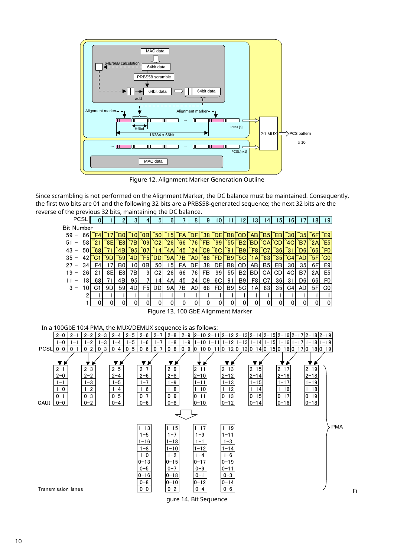

Figure 12. Alignment Marker Generation Outline

Since scrambling is not performed on the Alignment Marker, the DC balance must be maintained. Consequently, the first two bits are 01 and the following 32 bits are a PRBS58-generated sequence; the next 32 bits are the reverse of the previous 32 bits, maintaining the DC balance. is not performed on the Alignment Marker, the DC balance must be maintained. Conseq<br>are 01 and the following 32 bits are a PRBS58-generated sequence; the next 32 bits are the<br>vious 32 bits, maintaining the DC balance.<br>SL

| the first two bits are 01 and the following 32 bits are a PRBS58-generated sequence; the next 32 bits are the |                                        |                    |                 |                         |                    |                |                     |                |                                                          |              |           |                      |                |                        |                        |                      |                  |                |                          |                  |            |
|---------------------------------------------------------------------------------------------------------------|----------------------------------------|--------------------|-----------------|-------------------------|--------------------|----------------|---------------------|----------------|----------------------------------------------------------|--------------|-----------|----------------------|----------------|------------------------|------------------------|----------------------|------------------|----------------|--------------------------|------------------|------------|
| reverse of the previous 32 bits, maintaining the DC balance.                                                  |                                        |                    |                 |                         |                    |                |                     |                |                                                          |              |           |                      |                |                        |                        |                      |                  |                |                          |                  |            |
| <b>PCSL</b>                                                                                                   | 0                                      | $\mathbf{1}$       | $\overline{2}$  | $\overline{3}$          | $\overline{4}$     | 5 <sup>1</sup> | 6 <sup>1</sup>      | $\overline{7}$ | 8 <sup>1</sup>                                           | 9            | $10$ 11   |                      | 12             | 13                     | 14                     | 15                   | 16               | 17             | 18                       | 19               |            |
| <b>Bit Number</b>                                                                                             |                                        |                    |                 |                         |                    |                |                     |                |                                                          |              |           |                      |                |                        |                        |                      |                  |                |                          |                  |            |
| $59 -$                                                                                                        | $66$ <sup><math>\degree</math>F4</sup> | ~17                | $\overline{B}0$ | $\tilde{ }$ 10          | ĭОB                | $\degree$ 50   | $\tilde{ }$ 15      | $\tilde{}$ FA  | `DF                                                      | $\degree$ 38 | ΄DΕ       | $\overline{B8}$      | ĆD.            | $\tilde{}$ AB          | $\tilde{\mathsf{B}}$ 5 | ҇ѤВ                  | $\degree$ 30     | $\degree$ 35   | $\check{\phantom{1}}$ 6F | $\tilde{\ }$ E9  |            |
| $51 -$<br>58                                                                                                  | $\degree$ 21                           | ĭ8Е                | E8              | ~7В                     | $\tilde{ }$ 09     | $\degree$ C2   | $\degree$ 26        | $\degree$ 66   | $\overline{76}$                                          | ŤЕ           | 99`       | $55^{\circ}$         | $\mathsf{B}2$  | ΒD                     | ĭСA                    | ĆD                   | $^{\circ}$ 4C    | Β7             | 2A                       | $\varepsilon$ E5 |            |
| $43 -$<br>50 <sup>1</sup>                                                                                     | $\degree$ 68                           | ~71                | 4B              | $\degree$ 95            | ~07                | ~14            | Ĭ4Α                 | $\degree$ 45   | $\mathbf{r}_{24}$                                        | C9           | ΄6C       | $\degree$ 91         | Έ9             | $\tilde{}$ F8          | °C7                    | $\degree$ 36         | 31`              | Ď6             | $\mathbf{66}$            | $F_0$            |            |
| $35 -$<br>42                                                                                                  | ΄C1                                    | 9D                 | $\degree$ 59    | 4D                      | $\tilde{F}$ 5      | ΪDD            | $\check{9}A$        | 7B             | $^{\circ}$ AO                                            | 68           | ΈD        | B9                   | <b>5С</b>      | $\mathsf{\tilde{}}$ 1A | $\degree$ 83           | $\degree$ 35         | $\overline{C}$ 4 | `AD            | 5F                       | $\overline{c}$   |            |
| $27 -$<br>34                                                                                                  | F4                                     | 17                 | B <sub>0</sub>  | 10                      | 0B                 | 50             | 15                  | FA             | DF                                                       | 38           | DE        | B <sub>8</sub>       | CD             | AB                     | B5                     | EB                   | 30               | 35             | 6F                       | E9               |            |
| $19 -$<br>26                                                                                                  | 21                                     | 8E                 | E8              | 7B                      | 9                  | C <sub>2</sub> | 26                  | 66             | 76                                                       | ${\sf FB}$   | 99        | 55                   | <b>B2</b>      | <b>BD</b>              | CA                     | CD                   | 4C               | B <sub>7</sub> | 2A                       | E <sub>5</sub>   |            |
| $11 -$<br>18                                                                                                  | 68                                     | 71                 | 4B              | 95                      | $\overline{7}$     | 14             | 4A                  | 45             | 24                                                       | C9           | 6C        | 91                   | B <sub>9</sub> | F <sub>8</sub>         | C <sub>7</sub>         | 36                   | 31               | D <sub>6</sub> | 66                       | F <sub>0</sub>   |            |
| $3 -$<br>10                                                                                                   | C <sub>1</sub>                         | 9D                 | 59              | 4D                      | F5                 | <b>DD</b>      | <b>9A</b>           | 7B             | A <sub>0</sub>                                           | 68           | <b>FD</b> | B <sub>9</sub>       | 5C             | 1A                     | 83                     | 35                   | C <sub>4</sub>   | AD             | 5F                       | CO               |            |
| 2                                                                                                             |                                        |                    |                 |                         | 1                  |                | 1                   | 1              | $\mathbf{1}$                                             | 1            |           | 1                    |                | 1                      |                        | 1                    | 1                |                | $\mathbf{1}$             |                  |            |
| 1                                                                                                             | $\mathbf 0$                            | $\mathbf 0$        | 0               | $\mathbf 0$             | $\mathbf 0$        | 0              | $\mathbf 0$         | $\Omega$       | $\Omega$                                                 | $\Omega$     | $\Omega$  | $\Omega$             | 0              | $\Omega$               | 0                      | $\mathbf 0$          | $\mathbf 0$      | 0              | $\overline{0}$           | $\pmb{0}$        |            |
| Figure 13. 100 GbE Alignment Marker                                                                           |                                        |                    |                 |                         |                    |                |                     |                |                                                          |              |           |                      |                |                        |                        |                      |                  |                |                          |                  |            |
|                                                                                                               |                                        |                    |                 |                         |                    |                |                     |                |                                                          |              |           |                      |                |                        |                        |                      |                  |                |                          |                  |            |
| In a 100GbE 10:4 PMA, the MUX/DEMUX sequence is as follows:                                                   |                                        |                    |                 |                         |                    |                |                     |                |                                                          |              |           |                      |                |                        |                        |                      |                  |                |                          |                  |            |
| $2 - 1$<br>$2-2$<br>$2 - 0$                                                                                   | $2-3$                                  |                    |                 | $2-4$ $2-5$ $2-6$ $2-7$ |                    |                | $2-8$               |                | $2-9$  2-10 2-11 2-12 2-13 2-14 2-15 2-16 2-17 2-18 2-19 |              |           |                      |                |                        |                        |                      |                  |                |                          |                  |            |
| $1 - 2$<br>$1 - 0$<br>$1 - 1$                                                                                 | $1 - 3$                                |                    | $1 - 4$         | $1 - 5$                 | $1 - 6$            | $1 - 7$        | $1 - 8$             |                | 1-9 1-10 1-11 1-12 1-13 1-14 1-15 1-16 1-17 1-18 1-19    |              |           |                      |                |                        |                        |                      |                  |                |                          |                  |            |
| $0 - 2$<br>$PCSL 0-0$<br>$0 - 1$                                                                              | $0 - 3$                                |                    | $0 - 4$         | $0 - 5$                 | $0 - 6$            | $0 - 7$        | $0 - 8$             |                | $0-9$ 0-10 0-11 0-12 0-13 0-14 0-15 0-16 0-17 0-18 0-19  |              |           |                      |                |                        |                        |                      |                  |                |                          |                  |            |
|                                                                                                               |                                        |                    |                 |                         |                    |                |                     |                |                                                          |              |           |                      |                |                        |                        |                      |                  |                |                          |                  |            |
|                                                                                                               |                                        |                    |                 |                         |                    |                |                     |                |                                                          |              |           |                      |                |                        |                        |                      |                  |                |                          |                  |            |
| $2 - 1$<br>$2 - 3$                                                                                            |                                        | $2 - 5$            |                 |                         | $2 - 7$            |                | $2 - 9$             |                | $2 - 11$                                                 |              |           | $2 - 13$             |                | $2 - 15$               |                        | $2 - 17$             |                  |                | $2 - 19$                 |                  |            |
| $2 - 0$<br>$2 - 2$<br>$1 - 1$<br>$1 - 3$                                                                      |                                        | $2 - 4$<br>$1 - 5$ |                 |                         | $2 - 6$<br>$1 - 7$ |                | $2 - 8$<br>$1 - 9$  |                | $2 - 10$<br>$1 - 11$                                     |              |           | $2 - 12$<br>$1 - 13$ |                | $2 - 14$<br>$1 - 15$   |                        | $2 - 16$<br>$1 - 17$ |                  |                | $2 - 18$<br>$1 - 19$     |                  |            |
| $1 - 2$<br>$1 - 0$                                                                                            |                                        | $1 - 4$            |                 |                         | $1 - 6$            |                | $1 - 8$             |                | $1 - 10$                                                 |              |           | $1 - 12$             |                | $1 - 14$               |                        | $1 - 16$             |                  |                | $1 - 18$                 |                  |            |
| $0 - 1$<br>$0 - 3$                                                                                            |                                        | $0 - 5$            |                 |                         | $0 - 7$            |                | $0 - 9$             |                | $0 - 11$                                                 |              |           | $0 - 13$             |                | $0 - 15$               |                        | $0 - 17$             |                  |                | $0 - 19$                 |                  |            |
| $0 - 2$<br>CAUI<br>$0 - 0$                                                                                    |                                        | $0 - 4$            |                 |                         | $0 - 6$            |                | $0 - 8$             |                | $0 - 10$                                                 |              |           | $0 - 12$             |                | $0 - 14$               |                        | $0 - 16$             |                  |                | $0 - 18$                 |                  |            |
|                                                                                                               |                                        |                    |                 |                         |                    |                |                     |                |                                                          |              |           |                      |                |                        |                        |                      |                  |                |                          |                  |            |
|                                                                                                               |                                        |                    |                 |                         |                    |                |                     |                |                                                          |              |           |                      |                |                        |                        |                      |                  |                |                          |                  |            |
|                                                                                                               |                                        |                    |                 |                         | $1 - 13$           |                | $1 - 15$            |                |                                                          | $1 - 17$     |           | $1 - 19$             |                |                        |                        |                      |                  |                |                          |                  | <b>PMA</b> |
|                                                                                                               |                                        |                    |                 |                         | $1 - 5$            |                | $1 - 7$             |                |                                                          | $1 - 9$      |           | $1 - 11$             |                |                        |                        |                      |                  |                |                          |                  |            |
|                                                                                                               |                                        |                    |                 |                         | $1 - 16$           |                | $1 - 18$            |                | $1 - 1$                                                  |              |           | $1 - 3$              |                |                        |                        |                      |                  |                |                          |                  |            |
|                                                                                                               |                                        |                    |                 |                         | $1 - 8$            |                | $1 - 10$            |                |                                                          | $1 - 12$     |           | $1 - 14$             |                |                        |                        |                      |                  |                |                          |                  |            |
|                                                                                                               |                                        |                    |                 |                         | $1 - 0$            |                | $1 - 2$             |                |                                                          | $1 - 4$      |           | $1 - 6$              |                |                        |                        |                      |                  |                |                          |                  |            |
|                                                                                                               |                                        |                    |                 |                         | 0-13               |                | $0 - 15$            |                | $0 - 17$                                                 |              |           | $0 - 19$             |                |                        |                        |                      |                  |                |                          |                  |            |
|                                                                                                               |                                        |                    |                 |                         | $0 - 5$            |                | $0 - 7$             |                |                                                          | $0 - 9$      |           | $0 - 11$             |                |                        |                        |                      |                  |                |                          |                  |            |
|                                                                                                               |                                        |                    |                 |                         | $0 - 16$           |                | $0 - 18$            |                | $0 - 1$                                                  |              |           | $0 - 3$              |                |                        |                        |                      |                  |                |                          |                  |            |
| <b>Transmission lanes</b>                                                                                     |                                        |                    |                 |                         | $0 - 8$<br>$0-0$   |                | $0 - 10$<br>$0 - 2$ |                | $ 0 - 12 $                                               | $0 - 4$      |           | $0 - 14$<br>$0 - 6$  |                |                        |                        |                      |                  |                |                          |                  |            |
|                                                                                                               |                                        |                    |                 |                         |                    |                |                     |                |                                                          |              |           |                      |                |                        |                        |                      |                  |                |                          |                  |            |

gure 14. Bit Sequence

Fi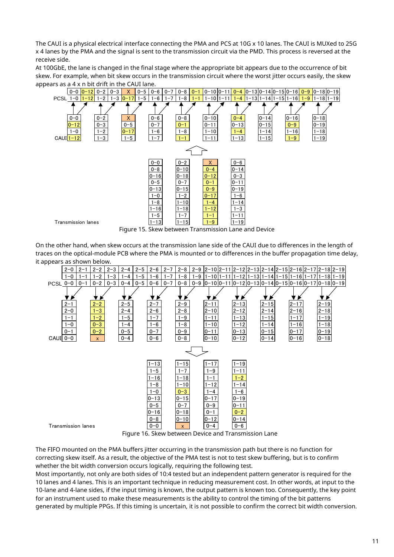The CAUI is a physical electrical interface connecting the PMA and PCS at 10G x 10 lanes. The CAUI is MUXed to 25G x 4 lanes by the PMA and the signal is sent to the transmission circuit via the PMD. This process is reversed at the receive side.

At 100GbE, the lane is changed in the final stage where the appropriate bit appears due to the occurrence of bit skew. For example, when bit skew occurs in the transmission circuit where the worst jitter occurs easily, the skew appears as a 4 x n bit drift in the CAUI lane.<br> $\sqrt{0-0.0}$   $\sqrt{0-12}$   $\sqrt{0-3}$   $\sqrt{10-5}$   $\sqrt{0-5}$ 



Figure 15. Skew between Transmission Lane and Device

On the other hand, when skew occurs at the transmission lane side of the CAUI due to differences in the length of traces on the optical-module PCB where the PMA is mounted or to differences in the buffer propagation time delay, it appears as shown below.



Figure 16. Skew between Device and Transmission Lane

The FIFO mounted on the PMA buffers jitter occurring in the transmission path but there is no function for correcting skew itself. As a result, the objective of the PMA test is not to test skew buffering, but is to confirm whether the bit width conversion occurs logically, requiring the following test.

Most importantly, not only are both sides of 10:4 tested but an independent pattern generator is required for the 10 lanes and 4 lanes. This is an important technique in reducing measurement cost. In other words, at input to the 10-lane and 4-lane sides, if the input timing is known, the output pattern is known too. Consequently, the key point for an instrument used to make these measurements is the ability to control the timing of the bit patterns generated by multiple PPGs. If this timing is uncertain, it is not possible to confirm the correct bit width conversion.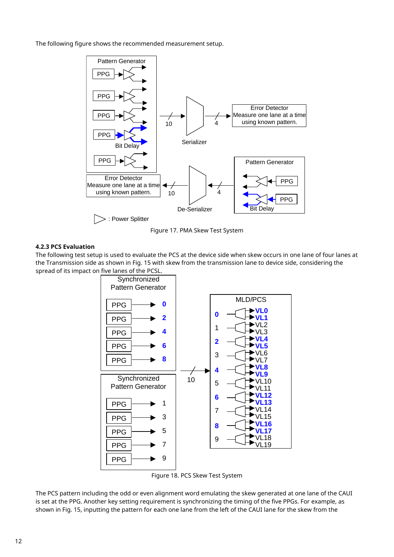The following figure shows the recommended measurement setup.



Figure 17. PMA Skew Test System

#### **4.2.3 PCS Evaluation**

The following test setup is used to evaluate the PCS at the device side when skew occurs in one lane of four lanes at the Transmission side as shown in Fig. 15 with skew from the transmission lane to device side, considering the spread of its impact on five lanes of the PCSL.



Figure 18. PCS Skew Test System

The PCS pattern including the odd or even alignment word emulating the skew generated at one lane of the CAUI is set at the PPG. Another key setting requirement is synchronizing the timing of the five PPGs. For example, as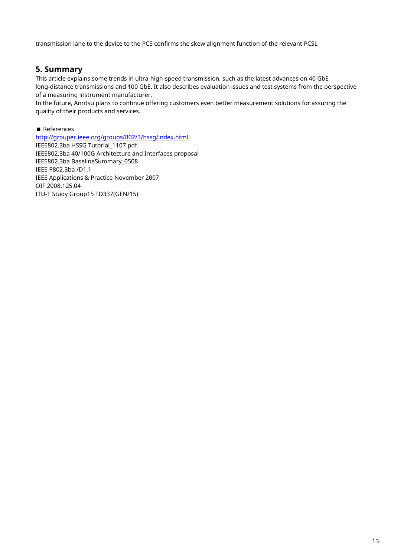transmission lane to the device to the PCS confirms the skew alignment function of the relevant PCSL

## **5. Summary**

This article explains some trends in ultra-high-speed transmission, such as the latest advances on 40 GbE long-distance transmissions and 100 GbE. It also describes evaluation issues and test systems from the perspective of a measuring instrument manufacturer.

In the future, Anritsu plans to continue offering customers even better measurement solutions for assuring the quality of their products and services.

#### References

[http://grouper.ieee.org/groups/802/3/hssg/index.html](http://www.ieee802.3.org/3/hssg/public/index.html)

IEEE802.3ba HSSG Tutorial\_1107.pdf IEEE802.3ba 40/100G Architecture and Interfaces proposal IEEE802.3ba BaselineSummary\_0508 IEEE P802.3ba /D1.1 IEEE Applications & Practice November 2007 OIF 2008.125.04 ITU-T Study Group15 TD337(GEN/15)